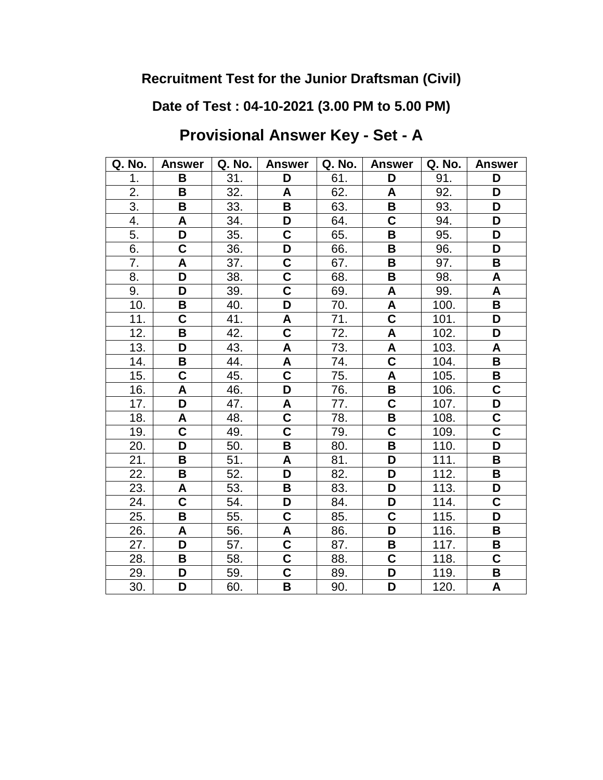**Date of Test : 04-10-2021 (3.00 PM to 5.00 PM)**

# **Provisional Answer Key - Set - A**

| Q. No.           | <b>Answer</b>           | Q. No. | <b>Answer</b>             | Q. No. | <b>Answer</b>             | Q. No. | <b>Answer</b>             |
|------------------|-------------------------|--------|---------------------------|--------|---------------------------|--------|---------------------------|
| 1.               | B                       | 31.    | D                         | 61.    | D                         | 91.    | D                         |
| 2.               | B                       | 32.    | A                         | 62.    | A                         | 92.    | D                         |
| $\overline{3}$ . | B                       | 33.    | B                         | 63.    | B                         | 93.    | D                         |
| 4.               | A                       | 34.    | D                         | 64.    | $\overline{\mathbf{C}}$   | 94.    | D                         |
| 5.               | D                       | 35.    | $\mathbf C$               | 65.    | B                         | 95.    | D                         |
| 6.               | $\overline{\mathbf{C}}$ | 36.    | D                         | 66.    | B                         | 96.    | D                         |
| 7.               | A                       | 37.    | $\mathbf C$               | 67.    | B                         | 97.    | В                         |
| 8.               | D                       | 38.    | $\overline{\mathsf{c}}$   | 68.    | $\overline{\mathbf{B}}$   | 98.    | $\boldsymbol{\mathsf{A}}$ |
| 9.               | D                       | 39.    | $\overline{\mathsf{C}}$   | 69.    | A                         | 99.    | $\overline{\mathsf{A}}$   |
| 10.              | B                       | 40.    | D                         | 70.    | A                         | 100.   | B                         |
| 11.              | C                       | 41.    | A                         | 71.    | $\overline{\mathsf{C}}$   | 101.   | D                         |
| 12.              | B                       | 42.    | $\overline{\mathsf{C}}$   | 72.    | A                         | 102.   | D                         |
| 13.              | D                       | 43.    | $\boldsymbol{\mathsf{A}}$ | 73.    | $\boldsymbol{\mathsf{A}}$ | 103.   | A                         |
| 14.              | B                       | 44.    | $\boldsymbol{\mathsf{A}}$ | 74.    | $\overline{\mathbf{C}}$   | 104.   | B                         |
| 15.              | C                       | 45.    | $\mathbf C$               | 75.    | A                         | 105.   | В                         |
| 16.              | A                       | 46.    | D                         | 76.    | B                         | 106.   | $\mathbf C$               |
| 17.              | D                       | 47.    | A                         | 77.    | $\overline{\mathbf{C}}$   | 107.   | D                         |
| 18.              | A                       | 48.    | $\mathbf C$               | 78.    | B                         | 108.   | C                         |
| 19.              | C                       | 49.    | C                         | 79.    | $\overline{\textbf{C}}$   | 109.   | C                         |
| 20.              | D                       | 50.    | B                         | 80.    | B                         | 110.   | D                         |
| 21.              | B                       | 51.    | A                         | 81.    | D                         | 111.   | B                         |
| 22.              | B                       | 52.    | D                         | 82.    | D                         | 112.   | B                         |
| 23.              | A                       | 53.    | B                         | 83.    | D                         | 113.   | D                         |
| 24.              | $\overline{\mathbf{C}}$ | 54.    | D                         | 84.    | D                         | 114.   | C                         |
| 25.              | B                       | 55.    | C                         | 85.    | $\overline{\textbf{C}}$   | 115.   | D                         |
| 26.              | A                       | 56.    | A                         | 86.    | D                         | 116.   | B                         |
| 27.              | D                       | 57.    | C                         | 87.    | B                         | 117.   | В                         |
| 28.              | B                       | 58.    | $\overline{\mathsf{C}}$   | 88.    | $\overline{\textbf{C}}$   | 118.   | $\overline{\mathbf{C}}$   |
| 29.              | D                       | 59.    | $\overline{\mathsf{c}}$   | 89.    | D                         | 119.   | B                         |
| 30.              | D                       | 60.    | B                         | 90.    | D                         | 120.   | A                         |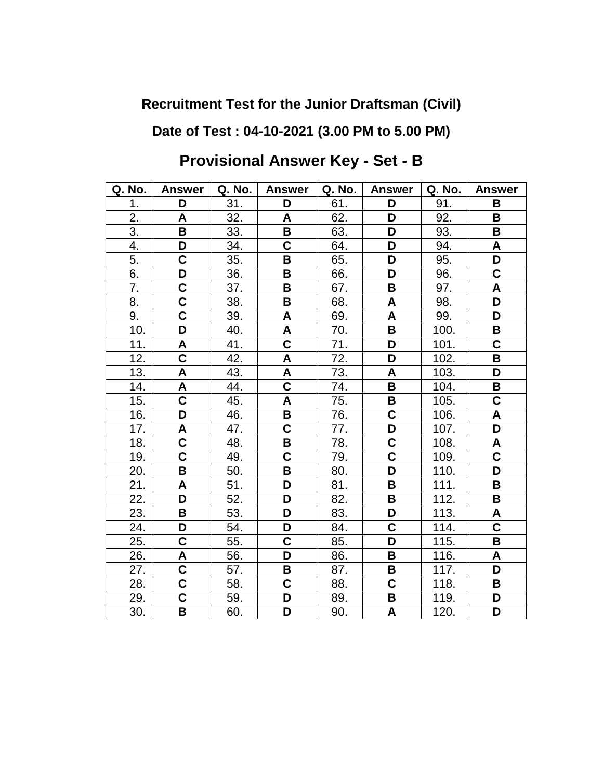## **Date of Test : 04-10-2021 (3.00 PM to 5.00 PM)**

| Q. No. | <b>Answer</b>           | Q. No. | <b>Answer</b>           | Q. No. | <b>Answer</b>           | Q. No. | <b>Answer</b>           |
|--------|-------------------------|--------|-------------------------|--------|-------------------------|--------|-------------------------|
| 1.     | D                       | 31.    | D                       | 61.    | D                       | 91.    | B                       |
| 2.     | A                       | 32.    | A                       | 62.    | D                       | 92.    | B                       |
| 3.     | B                       | 33.    | B                       | 63.    | D                       | 93.    | B                       |
| 4.     | D                       | 34.    | C                       | 64.    | D                       | 94.    | A                       |
| 5.     | $\mathbf C$             | 35.    | B                       | 65.    | D                       | 95.    | D                       |
| 6.     | D                       | 36.    | B                       | 66.    | D                       | 96.    | $\overline{\mathsf{C}}$ |
| 7.     | C                       | 37.    | B                       | 67.    | B                       | 97.    | A                       |
| 8.     | $\overline{\mathbf{C}}$ | 38.    | B                       | 68.    | A                       | 98.    | D                       |
| 9.     | $\overline{\textbf{C}}$ | 39.    | A                       | 69.    | A                       | 99.    | D                       |
| 10.    | D                       | 40.    | A                       | 70.    | B                       | 100.   | B                       |
| 11.    | A                       | 41.    | $\overline{\mathbf{C}}$ | 71.    | D                       | 101.   | C                       |
| 12.    | $\overline{\mathsf{c}}$ | 42.    | A                       | 72.    | D                       | 102.   | B                       |
| 13.    | A                       | 43.    | A                       | 73.    | A                       | 103.   | D                       |
| 14.    | A                       | 44.    | C                       | 74.    | B                       | 104.   | В                       |
| 15.    | $\overline{\mathsf{C}}$ | 45.    | A                       | 75.    | B                       | 105.   | $\mathbf C$             |
| 16.    | D                       | 46.    | B                       | 76.    | $\overline{\mathsf{C}}$ | 106.   | A                       |
| 17.    | A                       | 47.    | $\overline{\mathsf{C}}$ | 77.    | $\overline{\mathsf{D}}$ | 107.   | $\overline{\mathsf{D}}$ |
| 18.    | $\overline{\mathbf{C}}$ | 48.    | B                       | 78.    | $\overline{\mathsf{C}}$ | 108.   | A                       |
| 19.    | C                       | 49.    | C                       | 79.    | $\mathbf C$             | 109.   | C                       |
| 20.    | B                       | 50.    | B                       | 80.    | $\overline{\mathsf{D}}$ | 110.   | D                       |
| 21.    | A                       | 51.    | D                       | 81.    | B                       | 111.   | B                       |
| 22.    | D                       | 52.    | D                       | 82.    | B                       | 112.   | B                       |
| 23.    | B                       | 53.    | D                       | 83.    | D                       | 113.   | A                       |
| 24.    | D                       | 54.    | D                       | 84.    | $\mathbf C$             | 114.   | $\mathbf C$             |
| 25.    | $\overline{\mathbf{C}}$ | 55.    | C                       | 85.    | D                       | 115.   | B                       |
| 26.    | A                       | 56.    | D                       | 86.    | B                       | 116.   | A                       |
| 27.    | $\overline{\mathbf{C}}$ | 57.    | B                       | 87.    | B                       | 117.   | D                       |
| 28.    | $\overline{\mathbf{C}}$ | 58.    | C                       | 88.    | $\overline{\mathsf{c}}$ | 118.   | B                       |
| 29.    | C                       | 59.    | D                       | 89.    | В                       | 119.   | D                       |
| 30.    | B                       | 60.    | D                       | 90.    | A                       | 120.   | D                       |

# **Provisional Answer Key - Set - B**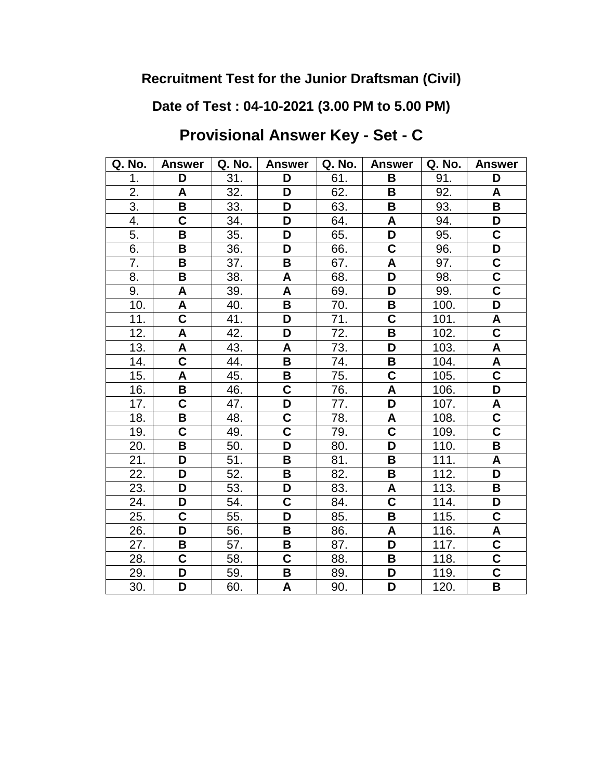**Date of Test : 04-10-2021 (3.00 PM to 5.00 PM)**

# **Provisional Answer Key - Set - C**

| Q. No.           | <b>Answer</b>           | Q. No. | <b>Answer</b>           | Q. No. | <b>Answer</b>             | Q. No. | <b>Answer</b>             |
|------------------|-------------------------|--------|-------------------------|--------|---------------------------|--------|---------------------------|
| 1.               | D                       | 31.    | D                       | 61.    | B                         | 91.    | D                         |
| 2.               | A                       | 32.    | D                       | 62.    | B                         | 92.    | A                         |
| $\overline{3}$ . | B                       | 33.    | D                       | 63.    | B                         | 93.    | B                         |
| 4.               | $\overline{\mathsf{C}}$ | 34.    | D                       | 64.    | A                         | 94.    | D                         |
| 5.               | B                       | 35.    | D                       | 65.    | $\overline{\mathsf{D}}$   | 95.    | $\mathbf C$               |
| 6.               | B                       | 36.    | D                       | 66.    | $\overline{\mathsf{C}}$   | 96.    | D                         |
| 7.               | B                       | 37.    | B                       | 67.    | A                         | 97.    | $\overline{\mathbf{C}}$   |
| 8.               | B                       | 38.    | A                       | 68.    | $\overline{\mathsf{D}}$   | 98.    | $\overline{\mathsf{c}}$   |
| 9.               | A                       | 39.    | A                       | 69.    | D                         | 99.    | $\overline{\mathbf{C}}$   |
| 10.              | A                       | 40.    | B                       | 70.    | В                         | 100.   | D                         |
| 11.              | $\overline{\mathbf{C}}$ | 41.    | D                       | 71.    | $\overline{\mathbf{C}}$   | 101.   | A                         |
| 12.              | $\mathsf{A}$            | 42.    | D                       | 72.    | B                         | 102.   | $\overline{\mathbf{C}}$   |
| 13.              | A                       | 43.    | A                       | 73.    | D                         | 103.   | A                         |
| 14.              | $\overline{\mathbf{C}}$ | 44.    | В                       | 74.    | B                         | 104.   | A                         |
| 15.              | A                       | 45.    | B                       | 75.    | $\overline{\mathsf{C}}$   | 105.   | $\overline{\mathsf{c}}$   |
| 16.              | B                       | 46.    | $\overline{\mathbf{C}}$ | 76.    | A                         | 106.   | D                         |
| 17.              | $\mathbf C$             | 47.    | D                       | 77.    | D                         | 107.   | A                         |
| 18.              | B                       | 48.    | $\mathbf C$             | 78.    | $\boldsymbol{\mathsf{A}}$ | 108.   | $\overline{\mathbf{C}}$   |
| 19.              | $\overline{\textbf{C}}$ | 49.    | $\overline{\mathsf{c}}$ | 79.    | $\overline{\mathbf{C}}$   | 109.   | $\overline{\mathsf{c}}$   |
| 20.              | B                       | 50.    | D                       | 80.    | $\overline{\mathsf{D}}$   | 110.   | B                         |
| 21.              | D                       | 51.    | B                       | 81.    | B                         | 111.   | $\boldsymbol{\mathsf{A}}$ |
| 22.              | D                       | 52.    | B                       | 82.    | B                         | 112.   | D                         |
| 23.              | D                       | 53.    | D                       | 83.    | $\boldsymbol{\mathsf{A}}$ | 113.   | B                         |
| 24.              | D                       | 54.    | C                       | 84.    | $\overline{\mathsf{c}}$   | 114.   | D                         |
| 25.              | C                       | 55.    | D                       | 85.    | B                         | 115.   | $\mathbf C$               |
| 26.              | D                       | 56.    | B                       | 86.    | A                         | 116.   | A                         |
| 27.              | В                       | 57.    | B                       | 87.    | D                         | 117.   | $\overline{\mathsf{C}}$   |
| 28.              | C                       | 58.    | C                       | 88.    | B                         | 118.   | $\overline{\mathbf{C}}$   |
| 29.              | D                       | 59.    | B                       | 89.    | D                         | 119.   | $\overline{\mathsf{c}}$   |
| 30.              | D                       | 60.    | A                       | 90.    | D                         | 120.   | B                         |